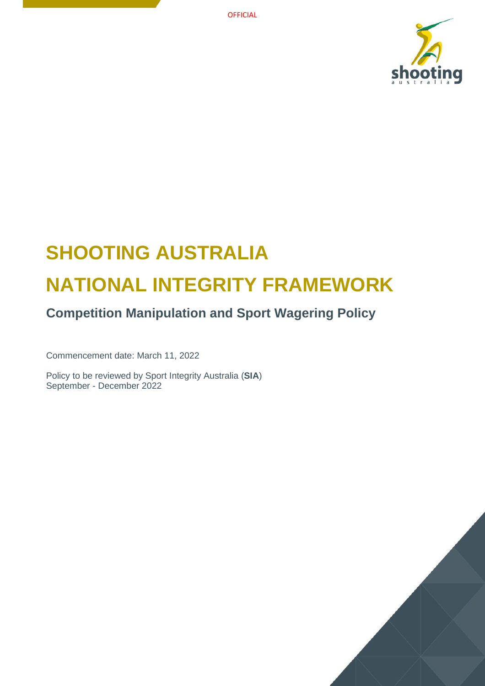**OFFICIAL** 



# **SHOOTING AUSTRALIA NATIONAL INTEGRITY FRAMEWORK**

## **Competition Manipulation and Sport Wagering Policy**

Commencement date: March 11, 2022

Policy to be reviewed by Sport Integrity Australia (**SIA**) September - December 2022

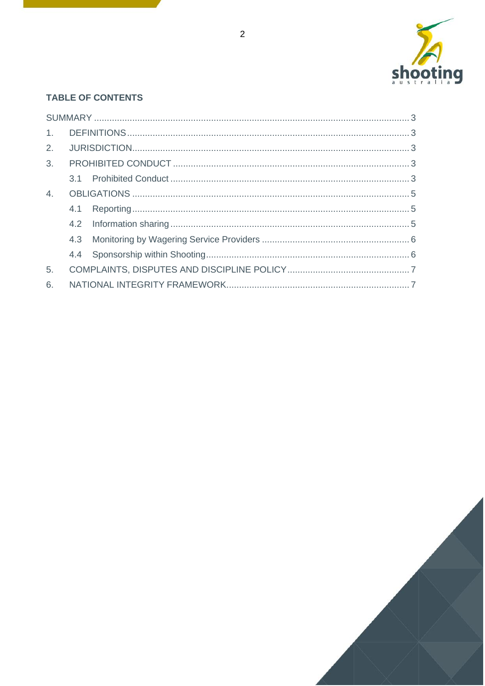

## **TABLE OF CONTENTS**

| 4.             |  |  |  |
|----------------|--|--|--|
|                |  |  |  |
|                |  |  |  |
|                |  |  |  |
|                |  |  |  |
| 5 <sub>1</sub> |  |  |  |
| 6.             |  |  |  |

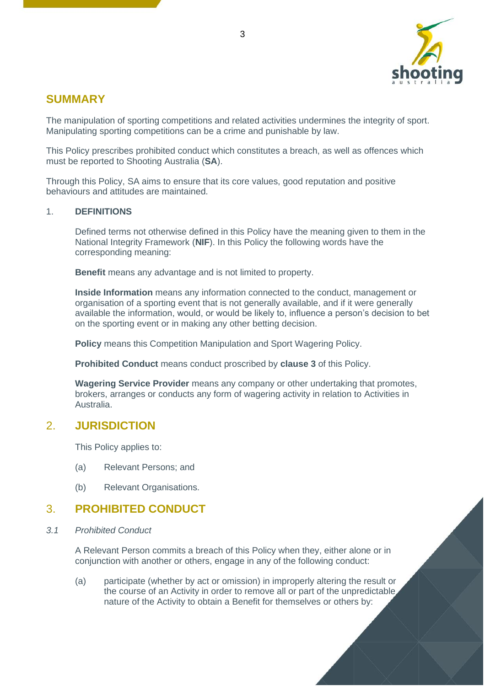

## <span id="page-2-0"></span>**SUMMARY**

The manipulation of sporting competitions and related activities undermines the integrity of sport. Manipulating sporting competitions can be a crime and punishable by law.

This Policy prescribes prohibited conduct which constitutes a breach, as well as offences which must be reported to Shooting Australia (**SA**).

Through this Policy, SA aims to ensure that its core values, good reputation and positive behaviours and attitudes are maintained.

#### <span id="page-2-1"></span>1. **DEFINITIONS**

Defined terms not otherwise defined in this Policy have the meaning given to them in the National Integrity Framework (**NIF**). In this Policy the following words have the corresponding meaning:

**Benefit** means any advantage and is not limited to property.

**Inside Information** means any information connected to the conduct, management or organisation of a sporting event that is not generally available, and if it were generally available the information, would, or would be likely to, influence a person's decision to bet on the sporting event or in making any other betting decision.

**Policy** means this Competition Manipulation and Sport Wagering Policy.

**Prohibited Conduct** means conduct proscribed by **clause [3](#page-2-3)** of this Policy.

**Wagering Service Provider** means any company or other undertaking that promotes, brokers, arranges or conducts any form of wagering activity in relation to Activities in Australia.

## <span id="page-2-2"></span>2. **JURISDICTION**

This Policy applies to:

- (a) Relevant Persons; and
- (b) Relevant Organisations.

## <span id="page-2-3"></span>3. **PROHIBITED CONDUCT**

<span id="page-2-4"></span>*3.1 Prohibited Conduct*

A Relevant Person commits a breach of this Policy when they, either alone or in conjunction with another or others, engage in any of the following conduct:

(a) participate (whether by act or omission) in improperly altering the result or the course of an Activity in order to remove all or part of the unpredictable nature of the Activity to obtain a Benefit for themselves or others by: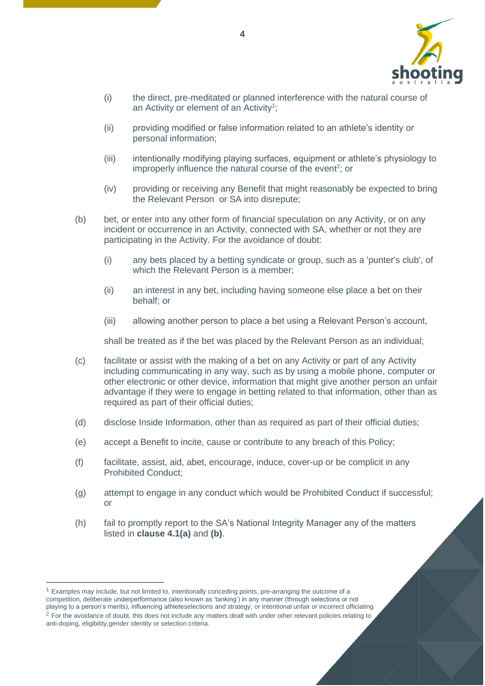

- (i) the direct, pre-meditated or planned interference with the natural course of an Activity or element of an Activity<sup>1</sup>;
- (ii) providing modified or false information related to an athlete's identity or personal information;
- (iii) intentionally modifying playing surfaces, equipment or athlete's physiology to improperly influence the natural course of the event<sup>2</sup>; or
- (iv) providing or receiving any Benefit that might reasonably be expected to bring the Relevant Person or SA into disrepute;
- (b) bet, or enter into any other form of financial speculation on any Activity, or on any incident or occurrence in an Activity, connected with SA, whether or not they are participating in the Activity. For the avoidance of doubt:
	- (i) any bets placed by a betting syndicate or group, such as a 'punter's club', of which the Relevant Person is a member;
	- (ii) an interest in any bet, including having someone else place a bet on their behalf; or
	- (iii) allowing another person to place a bet using a Relevant Person's account,

shall be treated as if the bet was placed by the Relevant Person as an individual;

- (c) facilitate or assist with the making of a bet on any Activity or part of any Activity including communicating in any way, such as by using a mobile phone, computer or other electronic or other device, information that might give another person an unfair advantage if they were to engage in betting related to that information, other than as required as part of their official duties;
- (d) disclose Inside Information, other than as required as part of their official duties;
- (e) accept a Benefit to incite, cause or contribute to any breach of this Policy;
- (f) facilitate, assist, aid, abet, encourage, induce, cover-up or be complicit in any Prohibited Conduct;
- (g) attempt to engage in any conduct which would be Prohibited Conduct if successful; or
- (h) fail to promptly report to the SA's National Integrity Manager any of the matters listed in **clause [4.1\(a\)](#page-4-3)** and **[\(b\)](#page-4-4)**.

<sup>1</sup> Examples may include, but not limited to, intentionally conceding points, pre-arranging the outcome of a competition, deliberate underperformance (also known as 'tanking') in any manner (through selections or not playing to a person's merits), influencing athleteselections and strategy, or intentional unfair or incorrect officiating <sup>2</sup> For the avoidance of doubt, this does not include any matters dealt with under other relevant policies relating to anti-doping, eligibility,gender identity or selection criteria.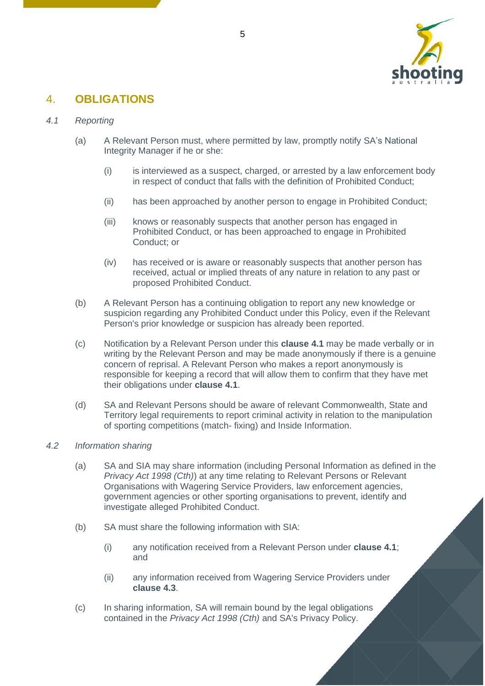

## <span id="page-4-0"></span>4. **OBLIGATIONS**

#### <span id="page-4-3"></span><span id="page-4-1"></span>*4.1 Reporting*

- (a) A Relevant Person must, where permitted by law, promptly notify SA's National Integrity Manager if he or she:
	- (i) is interviewed as a suspect, charged, or arrested by a law enforcement body in respect of conduct that falls with the definition of Prohibited Conduct;
	- (ii) has been approached by another person to engage in Prohibited Conduct;
	- (iii) knows or reasonably suspects that another person has engaged in Prohibited Conduct, or has been approached to engage in Prohibited Conduct; or
	- (iv) has received or is aware or reasonably suspects that another person has received, actual or implied threats of any nature in relation to any past or proposed Prohibited Conduct.
- <span id="page-4-4"></span>(b) A Relevant Person has a continuing obligation to report any new knowledge or suspicion regarding any Prohibited Conduct under this Policy, even if the Relevant Person's prior knowledge or suspicion has already been reported.
- (c) Notification by a Relevant Person under this **clause [4.1](#page-4-1)** may be made verbally or in writing by the Relevant Person and may be made anonymously if there is a genuine concern of reprisal. A Relevant Person who makes a report anonymously is responsible for keeping a record that will allow them to confirm that they have met their obligations under **clause [4.1](#page-4-1)**.
- (d) SA and Relevant Persons should be aware of relevant Commonwealth, State and Territory legal requirements to report criminal activity in relation to the manipulation of sporting competitions (match- fixing) and Inside Information.

#### <span id="page-4-2"></span>*4.2 Information sharing*

- (a) SA and SIA may share information (including Personal Information as defined in the *Privacy Act 1998 (Cth)*) at any time relating to Relevant Persons or Relevant Organisations with Wagering Service Providers, law enforcement agencies, government agencies or other sporting organisations to prevent, identify and investigate alleged Prohibited Conduct.
- (b) SA must share the following information with SIA:
	- (i) any notification received from a Relevant Person under **clause [4.1](#page-4-1)**; and
	- (ii) any information received from Wagering Service Providers under **clause [4.3](#page-5-0)**.
- (c) In sharing information, SA will remain bound by the legal obligations contained in the *Privacy Act 1998 (Cth)* and SA's Privacy Policy.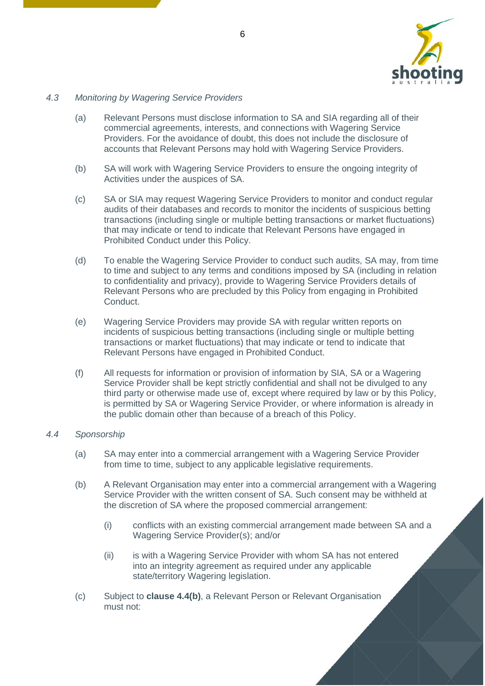

#### <span id="page-5-0"></span>*4.3 Monitoring by Wagering Service Providers*

- (a) Relevant Persons must disclose information to SA and SIA regarding all of their commercial agreements, interests, and connections with Wagering Service Providers. For the avoidance of doubt, this does not include the disclosure of accounts that Relevant Persons may hold with Wagering Service Providers.
- (b) SA will work with Wagering Service Providers to ensure the ongoing integrity of Activities under the auspices of SA.
- (c) SA or SIA may request Wagering Service Providers to monitor and conduct regular audits of their databases and records to monitor the incidents of suspicious betting transactions (including single or multiple betting transactions or market fluctuations) that may indicate or tend to indicate that Relevant Persons have engaged in Prohibited Conduct under this Policy.
- (d) To enable the Wagering Service Provider to conduct such audits, SA may, from time to time and subject to any terms and conditions imposed by SA (including in relation to confidentiality and privacy), provide to Wagering Service Providers details of Relevant Persons who are precluded by this Policy from engaging in Prohibited Conduct.
- (e) Wagering Service Providers may provide SA with regular written reports on incidents of suspicious betting transactions (including single or multiple betting transactions or market fluctuations) that may indicate or tend to indicate that Relevant Persons have engaged in Prohibited Conduct.
- (f) All requests for information or provision of information by SIA, SA or a Wagering Service Provider shall be kept strictly confidential and shall not be divulged to any third party or otherwise made use of, except where required by law or by this Policy, is permitted by SA or Wagering Service Provider, or where information is already in the public domain other than because of a breach of this Policy.

#### <span id="page-5-1"></span>*4.4 Sponsorship*

- (a) SA may enter into a commercial arrangement with a Wagering Service Provider from time to time, subject to any applicable legislative requirements.
- <span id="page-5-2"></span>(b) A Relevant Organisation may enter into a commercial arrangement with a Wagering Service Provider with the written consent of SA. Such consent may be withheld at the discretion of SA where the proposed commercial arrangement:
	- (i) conflicts with an existing commercial arrangement made between SA and a Wagering Service Provider(s); and/or
	- (ii) is with a Wagering Service Provider with whom SA has not entered into an integrity agreement as required under any applicable state/territory Wagering legislation.
- (c) Subject to **clause [4.4\(b\)](#page-5-2)**, a Relevant Person or Relevant Organisation must not: